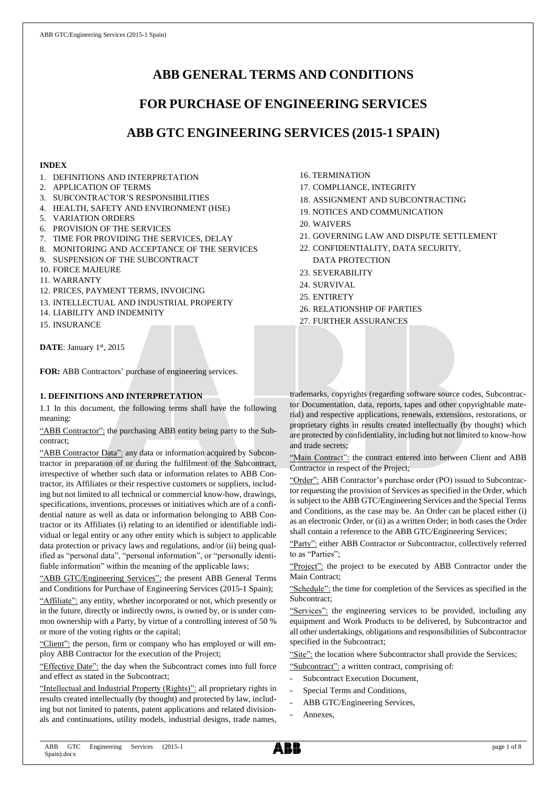# **ABB GENERAL TERMS AND CONDITIONS**

# **FOR PURCHASE OF ENGINEERING SERVICES**

# **ABB GTC ENGINEERING SERVICES (2015-1 SPAIN)**

## **INDEX**

- 1. DEFINITIONS AND INTERPRETATION
- 2. APPLICATION OF TERMS
- 3. SUBCONTRACTOR'S RESPONSIBILITIES
- 4. HEALTH, SAFETY AND ENVIRONMENT (HSE)
- 5. VARIATION ORDERS
- 6. PROVISION OF THE SERVICES
- 7. TIME FOR PROVIDING THE SERVICES, DELAY
- 8. MONITORING AND ACCEPTANCE OF THE SERVICES
- 9. SUSPENSION OF THE SUBCONTRACT
- 10. FORCE MAJEURE
- 11. WARRANTY
- 12. PRICES, PAYMENT TERMS, INVOICING
- 13. INTELLECTUAL AND INDUSTRIAL PROPERTY
- 14. LIABILITY AND INDEMNITY
- 15. INSURANCE

DATE: January 1st, 2015

**FOR:** ABB Contractors' purchase of engineering services.

# **1. DEFINITIONS AND INTERPRETATION**

1.1 In this document, the following terms shall have the following meaning:

"ABB Contractor": the purchasing ABB entity being party to the Subcontract;

"ABB Contractor Data": any data or information acquired by Subcontractor in preparation of or during the fulfilment of the Subcontract, irrespective of whether such data or information relates to ABB Contractor, its Affiliates or their respective customers or suppliers, including but not limited to all technical or commercial know-how, drawings, specifications, inventions, processes or initiatives which are of a confidential nature as well as data or information belonging to ABB Contractor or its Affiliates (i) relating to an identified or identifiable individual or legal entity or any other entity which is subject to applicable data protection or privacy laws and regulations, and/or (ii) being qualified as "personal data", "personal information", or "personally identifiable information" within the meaning of the applicable laws;

"ABB GTC/Engineering Services": the present ABB General Terms and Conditions for Purchase of Engineering Services (2015-1 Spain);

"Affiliate": any entity, whether incorporated or not, which presently or in the future, directly or indirectly owns, is owned by, or is under common ownership with a Party, by virtue of a controlling interest of 50 % or more of the voting rights or the capital;

"Client": the person, firm or company who has employed or will employ ABB Contractor for the execution of the Project;

"Effective Date": the day when the Subcontract comes into full force and effect as stated in the Subcontract;

"Intellectual and Industrial Property (Rights)": all proprietary rights in results created intellectually (by thought) and protected by law, including but not limited to patents, patent applications and related divisionals and continuations, utility models, industrial designs, trade names,

- 16. TERMINATION
- 17. COMPLIANCE, INTEGRITY
- 18. ASSIGNMENT AND SUBCONTRACTING
- 19. NOTICES AND COMMUNICATION
- 20. WAIVERS
- 21. GOVERNING LAW AND DISPUTE SETTLEMENT
- 22. CONFIDENTIALITY, DATA SECURITY, DATA PROTECTION
- 23. SEVERABILITY
- 24. SURVIVAL
- 25. ENTIRETY
- 26. RELATIONSHIP OF PARTIES
- 27. FURTHER ASSURANCES

trademarks, copyrights (regarding software source codes, Subcontractor Documentation, data, reports, tapes and other copyrightable material) and respective applications, renewals, extensions, restorations, or proprietary rights in results created intellectually (by thought) which are protected by confidentiality, including but not limited to know-how and trade secrets;

"Main Contract": the contract entered into between Client and ABB Contractor in respect of the Project;

"Order": ABB Contractor's purchase order (PO) issued to Subcontractor requesting the provision of Services as specified in the Order, which is subject to the ABB GTC/Engineering Services and the Special Terms and Conditions, as the case may be. An Order can be placed either (i) as an electronic Order, or (ii) as a written Order; in both cases the Order shall contain a reference to the ABB GTC/Engineering Services;

"Party": either ABB Contractor or Subcontractor, collectively referred to as "Parties";

"Project": the project to be executed by ABB Contractor under the Main Contract;

"Schedule": the time for completion of the Services as specified in the Subcontract;

"Services": the engineering services to be provided, including any equipment and Work Products to be delivered, by Subcontractor and all other undertakings, obligations and responsibilities of Subcontractor specified in the Subcontract;

"Site": the location where Subcontractor shall provide the Services; "Subcontract": a written contract, comprising of:

- Subcontract Execution Document,
- Special Terms and Conditions,
- ABB GTC/Engineering Services,
- Annexes.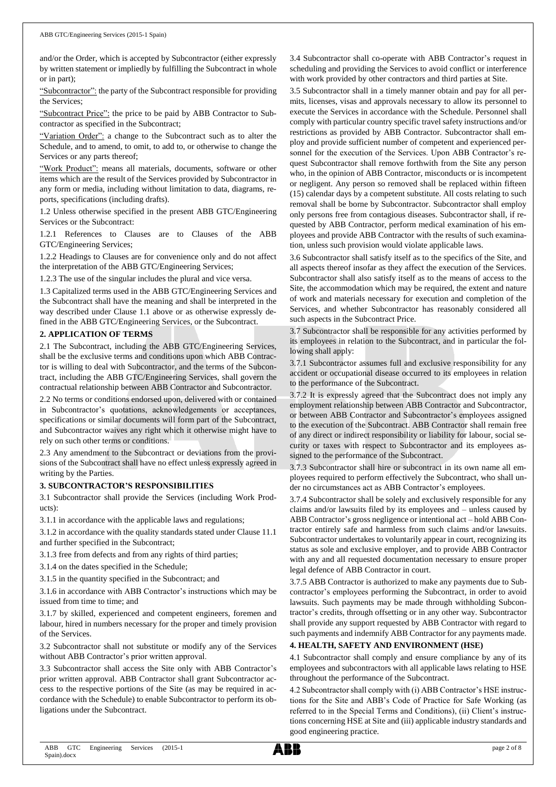and/or the Order, which is accepted by Subcontractor (either expressly by written statement or impliedly by fulfilling the Subcontract in whole or in part);

"Subcontractor": the party of the Subcontract responsible for providing the Services;

"Subcontract Price": the price to be paid by ABB Contractor to Subcontractor as specified in the Subcontract;

"Variation Order": a change to the Subcontract such as to alter the Schedule, and to amend, to omit, to add to, or otherwise to change the Services or any parts thereof;

"Work Product": means all materials, documents, software or other items which are the result of the Services provided by Subcontractor in any form or media, including without limitation to data, diagrams, reports, specifications (including drafts).

1.2 Unless otherwise specified in the present ABB GTC/Engineering Services or the Subcontract:

1.2.1 References to Clauses are to Clauses of the ABB GTC/Engineering Services;

1.2.2 Headings to Clauses are for convenience only and do not affect the interpretation of the ABB GTC/Engineering Services;

1.2.3 The use of the singular includes the plural and vice versa.

1.3 Capitalized terms used in the ABB GTC/Engineering Services and the Subcontract shall have the meaning and shall be interpreted in the way described under Clause 1.1 above or as otherwise expressly defined in the ABB GTC/Engineering Services, or the Subcontract.

#### **2. APPLICATION OF TERMS**

2.1 The Subcontract, including the ABB GTC/Engineering Services, shall be the exclusive terms and conditions upon which ABB Contractor is willing to deal with Subcontractor, and the terms of the Subcontract, including the ABB GTC/Engineering Services, shall govern the contractual relationship between ABB Contractor and Subcontractor.

2.2 No terms or conditions endorsed upon, delivered with or contained in Subcontractor's quotations, acknowledgements or acceptances, specifications or similar documents will form part of the Subcontract, and Subcontractor waives any right which it otherwise might have to rely on such other terms or conditions.

2.3 Any amendment to the Subcontract or deviations from the provisions of the Subcontract shall have no effect unless expressly agreed in writing by the Parties.

#### **3. SUBCONTRACTOR'S RESPONSIBILITIES**

3.1 Subcontractor shall provide the Services (including Work Products):

3.1.1 in accordance with the applicable laws and regulations;

3.1.2 in accordance with the quality standards stated under Clause 11.1 and further specified in the Subcontract;

3.1.3 free from defects and from any rights of third parties;

3.1.4 on the dates specified in the Schedule;

3.1.5 in the quantity specified in the Subcontract; and

3.1.6 in accordance with ABB Contractor's instructions which may be issued from time to time; and

3.1.7 by skilled, experienced and competent engineers, foremen and labour, hired in numbers necessary for the proper and timely provision of the Services.

3.2 Subcontractor shall not substitute or modify any of the Services without ABB Contractor's prior written approval.

3.3 Subcontractor shall access the Site only with ABB Contractor's prior written approval. ABB Contractor shall grant Subcontractor access to the respective portions of the Site (as may be required in accordance with the Schedule) to enable Subcontractor to perform its obligations under the Subcontract.

3.4 Subcontractor shall co-operate with ABB Contractor's request in scheduling and providing the Services to avoid conflict or interference with work provided by other contractors and third parties at Site.

3.5 Subcontractor shall in a timely manner obtain and pay for all permits, licenses, visas and approvals necessary to allow its personnel to execute the Services in accordance with the Schedule. Personnel shall comply with particular country specific travel safety instructions and/or restrictions as provided by ABB Contractor. Subcontractor shall employ and provide sufficient number of competent and experienced personnel for the execution of the Services. Upon ABB Contractor's request Subcontractor shall remove forthwith from the Site any person who, in the opinion of ABB Contractor, misconducts or is incompetent or negligent. Any person so removed shall be replaced within fifteen (15) calendar days by a competent substitute. All costs relating to such removal shall be borne by Subcontractor. Subcontractor shall employ only persons free from contagious diseases. Subcontractor shall, if requested by ABB Contractor, perform medical examination of his employees and provide ABB Contractor with the results of such examination, unless such provision would violate applicable laws.

3.6 Subcontractor shall satisfy itself as to the specifics of the Site, and all aspects thereof insofar as they affect the execution of the Services. Subcontractor shall also satisfy itself as to the means of access to the Site, the accommodation which may be required, the extent and nature of work and materials necessary for execution and completion of the Services, and whether Subcontractor has reasonably considered all such aspects in the Subcontract Price.

3.7 Subcontractor shall be responsible for any activities performed by its employees in relation to the Subcontract, and in particular the following shall apply:

3.7.1 Subcontractor assumes full and exclusive responsibility for any accident or occupational disease occurred to its employees in relation to the performance of the Subcontract.

3.7.2 It is expressly agreed that the Subcontract does not imply any employment relationship between ABB Contractor and Subcontractor, or between ABB Contractor and Subcontractor's employees assigned to the execution of the Subcontract. ABB Contractor shall remain free of any direct or indirect responsibility or liability for labour, social security or taxes with respect to Subcontractor and its employees assigned to the performance of the Subcontract.

3.7.3 Subcontractor shall hire or subcontract in its own name all employees required to perform effectively the Subcontract, who shall under no circumstances act as ABB Contractor's employees.

3.7.4 Subcontractor shall be solely and exclusively responsible for any claims and/or lawsuits filed by its employees and – unless caused by ABB Contractor's gross negligence or intentional act – hold ABB Contractor entirely safe and harmless from such claims and/or lawsuits. Subcontractor undertakes to voluntarily appear in court, recognizing its status as sole and exclusive employer, and to provide ABB Contractor with any and all requested documentation necessary to ensure proper legal defence of ABB Contractor in court.

3.7.5 ABB Contractor is authorized to make any payments due to Subcontractor's employees performing the Subcontract, in order to avoid lawsuits. Such payments may be made through withholding Subcontractor's credits, through offsetting or in any other way. Subcontractor shall provide any support requested by ABB Contractor with regard to such payments and indemnify ABB Contractor for any payments made.

#### **4. HEALTH, SAFETY AND ENVIRONMENT (HSE)**

4.1 Subcontractor shall comply and ensure compliance by any of its employees and subcontractors with all applicable laws relating to HSE throughout the performance of the Subcontract.

4.2 Subcontractor shall comply with (i) ABB Contractor's HSE instructions for the Site and ABB's Code of Practice for Safe Working (as referred to in the Special Terms and Conditions), (ii) Client's instructions concerning HSE at Site and (iii) applicable industry standards and good engineering practice.

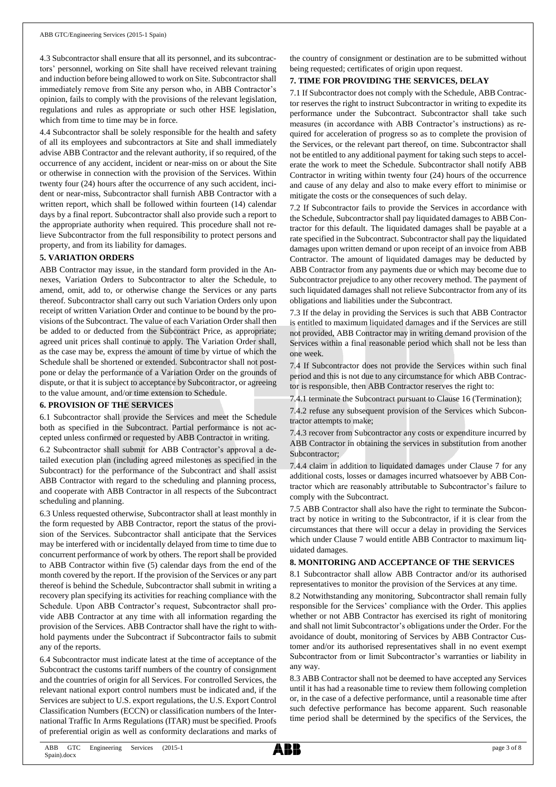4.3 Subcontractor shall ensure that all its personnel, and its subcontractors' personnel, working on Site shall have received relevant training and induction before being allowed to work on Site. Subcontractor shall immediately remove from Site any person who, in ABB Contractor's opinion, fails to comply with the provisions of the relevant legislation, regulations and rules as appropriate or such other HSE legislation, which from time to time may be in force.

4.4 Subcontractor shall be solely responsible for the health and safety of all its employees and subcontractors at Site and shall immediately advise ABB Contractor and the relevant authority, if so required, of the occurrence of any accident, incident or near-miss on or about the Site or otherwise in connection with the provision of the Services. Within twenty four (24) hours after the occurrence of any such accident, incident or near-miss, Subcontractor shall furnish ABB Contractor with a written report, which shall be followed within fourteen (14) calendar days by a final report. Subcontractor shall also provide such a report to the appropriate authority when required. This procedure shall not relieve Subcontractor from the full responsibility to protect persons and property, and from its liability for damages.

#### **5. VARIATION ORDERS**

ABB Contractor may issue, in the standard form provided in the Annexes, Variation Orders to Subcontractor to alter the Schedule, to amend, omit, add to, or otherwise change the Services or any parts thereof. Subcontractor shall carry out such Variation Orders only upon receipt of written Variation Order and continue to be bound by the provisions of the Subcontract. The value of each Variation Order shall then be added to or deducted from the Subcontract Price, as appropriate; agreed unit prices shall continue to apply. The Variation Order shall, as the case may be, express the amount of time by virtue of which the Schedule shall be shortened or extended. Subcontractor shall not postpone or delay the performance of a Variation Order on the grounds of dispute, or that it is subject to acceptance by Subcontractor, or agreeing to the value amount, and/or time extension to Schedule.

## **6. PROVISION OF THE SERVICES**

6.1 Subcontractor shall provide the Services and meet the Schedule both as specified in the Subcontract. Partial performance is not accepted unless confirmed or requested by ABB Contractor in writing.

6.2 Subcontractor shall submit for ABB Contractor's approval a detailed execution plan (including agreed milestones as specified in the Subcontract) for the performance of the Subcontract and shall assist ABB Contractor with regard to the scheduling and planning process, and cooperate with ABB Contractor in all respects of the Subcontract scheduling and planning.

6.3 Unless requested otherwise, Subcontractor shall at least monthly in the form requested by ABB Contractor, report the status of the provision of the Services. Subcontractor shall anticipate that the Services may be interfered with or incidentally delayed from time to time due to concurrent performance of work by others. The report shall be provided to ABB Contractor within five (5) calendar days from the end of the month covered by the report. If the provision of the Services or any part thereof is behind the Schedule, Subcontractor shall submit in writing a recovery plan specifying its activities for reaching compliance with the Schedule. Upon ABB Contractor's request, Subcontractor shall provide ABB Contractor at any time with all information regarding the provision of the Services. ABB Contractor shall have the right to withhold payments under the Subcontract if Subcontractor fails to submit any of the reports.

6.4 Subcontractor must indicate latest at the time of acceptance of the Subcontract the customs tariff numbers of the country of consignment and the countries of origin for all Services. For controlled Services, the relevant national export control numbers must be indicated and, if the Services are subject to U.S. export regulations, the U.S. Export Control Classification Numbers (ECCN) or classification numbers of the International Traffic In Arms Regulations (ITAR) must be specified. Proofs of preferential origin as well as conformity declarations and marks of

the country of consignment or destination are to be submitted without being requested; certificates of origin upon request.

#### **7. TIME FOR PROVIDING THE SERVICES, DELAY**

7.1 If Subcontractor does not comply with the Schedule, ABB Contractor reserves the right to instruct Subcontractor in writing to expedite its performance under the Subcontract. Subcontractor shall take such measures (in accordance with ABB Contractor's instructions) as required for acceleration of progress so as to complete the provision of the Services, or the relevant part thereof, on time. Subcontractor shall not be entitled to any additional payment for taking such steps to accelerate the work to meet the Schedule. Subcontractor shall notify ABB Contractor in writing within twenty four (24) hours of the occurrence and cause of any delay and also to make every effort to minimise or mitigate the costs or the consequences of such delay.

7.2 If Subcontractor fails to provide the Services in accordance with the Schedule, Subcontractor shall pay liquidated damages to ABB Contractor for this default. The liquidated damages shall be payable at a rate specified in the Subcontract. Subcontractor shall pay the liquidated damages upon written demand or upon receipt of an invoice from ABB Contractor. The amount of liquidated damages may be deducted by ABB Contractor from any payments due or which may become due to Subcontractor prejudice to any other recovery method. The payment of such liquidated damages shall not relieve Subcontractor from any of its obligations and liabilities under the Subcontract.

7.3 If the delay in providing the Services is such that ABB Contractor is entitled to maximum liquidated damages and if the Services are still not provided, ABB Contractor may in writing demand provision of the Services within a final reasonable period which shall not be less than one week.

7.4 If Subcontractor does not provide the Services within such final period and this is not due to any circumstance for which ABB Contractor is responsible, then ABB Contractor reserves the right to:

7.4.1 terminate the Subcontract pursuant to Clause 16 (Termination);

7.4.2 refuse any subsequent provision of the Services which Subcontractor attempts to make;

7.4.3 recover from Subcontractor any costs or expenditure incurred by ABB Contractor in obtaining the services in substitution from another Subcontractor;

7.4.4 claim in addition to liquidated damages under Clause 7 for any additional costs, losses or damages incurred whatsoever by ABB Contractor which are reasonably attributable to Subcontractor's failure to comply with the Subcontract.

7.5 ABB Contractor shall also have the right to terminate the Subcontract by notice in writing to the Subcontractor, if it is clear from the circumstances that there will occur a delay in providing the Services which under Clause 7 would entitle ABB Contractor to maximum liquidated damages.

#### **8. MONITORING AND ACCEPTANCE OF THE SERVICES**

8.1 Subcontractor shall allow ABB Contractor and/or its authorised representatives to monitor the provision of the Services at any time.

8.2 Notwithstanding any monitoring, Subcontractor shall remain fully responsible for the Services' compliance with the Order. This applies whether or not ABB Contractor has exercised its right of monitoring and shall not limit Subcontractor's obligations under the Order. For the avoidance of doubt, monitoring of Services by ABB Contractor Customer and/or its authorised representatives shall in no event exempt Subcontractor from or limit Subcontractor's warranties or liability in any way.

8.3 ABB Contractor shall not be deemed to have accepted any Services until it has had a reasonable time to review them following completion or, in the case of a defective performance, until a reasonable time after such defective performance has become apparent. Such reasonable time period shall be determined by the specifics of the Services, the

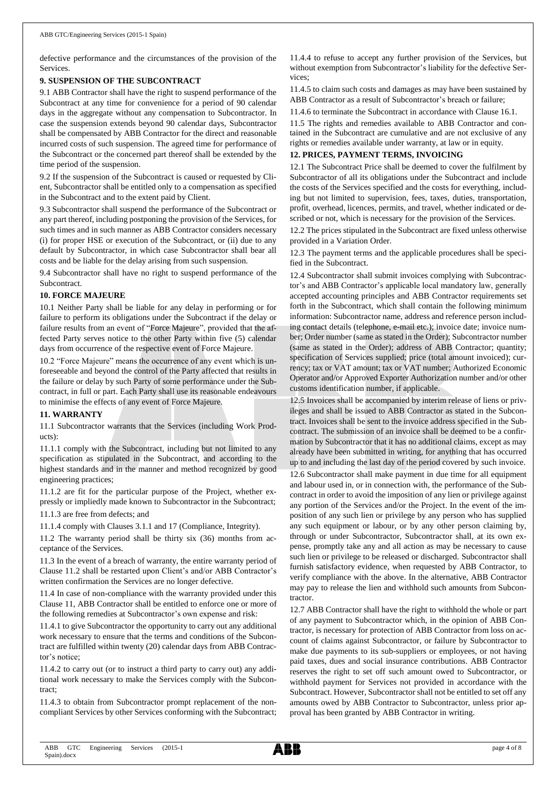defective performance and the circumstances of the provision of the Services.

#### **9. SUSPENSION OF THE SUBCONTRACT**

9.1 ABB Contractor shall have the right to suspend performance of the Subcontract at any time for convenience for a period of 90 calendar days in the aggregate without any compensation to Subcontractor. In case the suspension extends beyond 90 calendar days, Subcontractor shall be compensated by ABB Contractor for the direct and reasonable incurred costs of such suspension. The agreed time for performance of the Subcontract or the concerned part thereof shall be extended by the time period of the suspension.

9.2 If the suspension of the Subcontract is caused or requested by Client, Subcontractor shall be entitled only to a compensation as specified in the Subcontract and to the extent paid by Client.

9.3 Subcontractor shall suspend the performance of the Subcontract or any part thereof, including postponing the provision of the Services, for such times and in such manner as ABB Contractor considers necessary (i) for proper HSE or execution of the Subcontract, or (ii) due to any default by Subcontractor, in which case Subcontractor shall bear all costs and be liable for the delay arising from such suspension.

9.4 Subcontractor shall have no right to suspend performance of the Subcontract.

#### **10. FORCE MAJEURE**

10.1 Neither Party shall be liable for any delay in performing or for failure to perform its obligations under the Subcontract if the delay or failure results from an event of "Force Majeure", provided that the affected Party serves notice to the other Party within five (5) calendar days from occurrence of the respective event of Force Majeure.

10.2 "Force Majeure" means the occurrence of any event which is unforeseeable and beyond the control of the Party affected that results in the failure or delay by such Party of some performance under the Subcontract, in full or part. Each Party shall use its reasonable endeavours to minimise the effects of any event of Force Majeure.

#### **11. WARRANTY**

11.1 Subcontractor warrants that the Services (including Work Products):

11.1.1 comply with the Subcontract, including but not limited to any specification as stipulated in the Subcontract, and according to the highest standards and in the manner and method recognized by good engineering practices;

11.1.2 are fit for the particular purpose of the Project, whether expressly or impliedly made known to Subcontractor in the Subcontract;

11.1.3 are free from defects; and

11.1.4 comply with Clauses 3.1.1 and 17 (Compliance, Integrity).

11.2 The warranty period shall be thirty six (36) months from acceptance of the Services.

11.3 In the event of a breach of warranty, the entire warranty period of Clause 11.2 shall be restarted upon Client's and/or ABB Contractor's written confirmation the Services are no longer defective.

11.4 In case of non-compliance with the warranty provided under this Clause 11, ABB Contractor shall be entitled to enforce one or more of the following remedies at Subcontractor's own expense and risk:

11.4.1 to give Subcontractor the opportunity to carry out any additional work necessary to ensure that the terms and conditions of the Subcontract are fulfilled within twenty (20) calendar days from ABB Contractor's notice;

11.4.2 to carry out (or to instruct a third party to carry out) any additional work necessary to make the Services comply with the Subcontract;

11.4.3 to obtain from Subcontractor prompt replacement of the noncompliant Services by other Services conforming with the Subcontract; 11.4.4 to refuse to accept any further provision of the Services, but without exemption from Subcontractor's liability for the defective Services;

11.4.5 to claim such costs and damages as may have been sustained by ABB Contractor as a result of Subcontractor's breach or failure;

11.4.6 to terminate the Subcontract in accordance with Clause 16.1.

11.5 The rights and remedies available to ABB Contractor and contained in the Subcontract are cumulative and are not exclusive of any rights or remedies available under warranty, at law or in equity.

#### **12. PRICES, PAYMENT TERMS, INVOICING**

12.1 The Subcontract Price shall be deemed to cover the fulfilment by Subcontractor of all its obligations under the Subcontract and include the costs of the Services specified and the costs for everything, including but not limited to supervision, fees, taxes, duties, transportation, profit, overhead, licences, permits, and travel, whether indicated or described or not, which is necessary for the provision of the Services.

12.2 The prices stipulated in the Subcontract are fixed unless otherwise provided in a Variation Order.

12.3 The payment terms and the applicable procedures shall be specified in the Subcontract.

12.4 Subcontractor shall submit invoices complying with Subcontractor's and ABB Contractor's applicable local mandatory law, generally accepted accounting principles and ABB Contractor requirements set forth in the Subcontract, which shall contain the following minimum information: Subcontractor name, address and reference person including contact details (telephone, e-mail etc.); invoice date; invoice number; Order number (same as stated in the Order); Subcontractor number (same as stated in the Order); address of ABB Contractor; quantity; specification of Services supplied; price (total amount invoiced); currency; tax or VAT amount; tax or VAT number; Authorized Economic Operator and/or Approved Exporter Authorization number and/or other customs identification number, if applicable.

12.5 Invoices shall be accompanied by interim release of liens or privileges and shall be issued to ABB Contractor as stated in the Subcontract. Invoices shall be sent to the invoice address specified in the Subcontract. The submission of an invoice shall be deemed to be a confirmation by Subcontractor that it has no additional claims, except as may already have been submitted in writing, for anything that has occurred up to and including the last day of the period covered by such invoice. 12.6 Subcontractor shall make payment in due time for all equipment

and labour used in, or in connection with, the performance of the Subcontract in order to avoid the imposition of any lien or privilege against any portion of the Services and/or the Project. In the event of the imposition of any such lien or privilege by any person who has supplied any such equipment or labour, or by any other person claiming by, through or under Subcontractor, Subcontractor shall, at its own expense, promptly take any and all action as may be necessary to cause such lien or privilege to be released or discharged. Subcontractor shall furnish satisfactory evidence, when requested by ABB Contractor, to verify compliance with the above. In the alternative, ABB Contractor may pay to release the lien and withhold such amounts from Subcontractor.

12.7 ABB Contractor shall have the right to withhold the whole or part of any payment to Subcontractor which, in the opinion of ABB Contractor, is necessary for protection of ABB Contractor from loss on account of claims against Subcontractor, or failure by Subcontractor to make due payments to its sub-suppliers or employees, or not having paid taxes, dues and social insurance contributions. ABB Contractor reserves the right to set off such amount owed to Subcontractor, or withhold payment for Services not provided in accordance with the Subcontract. However, Subcontractor shall not be entitled to set off any amounts owed by ABB Contractor to Subcontractor, unless prior approval has been granted by ABB Contractor in writing.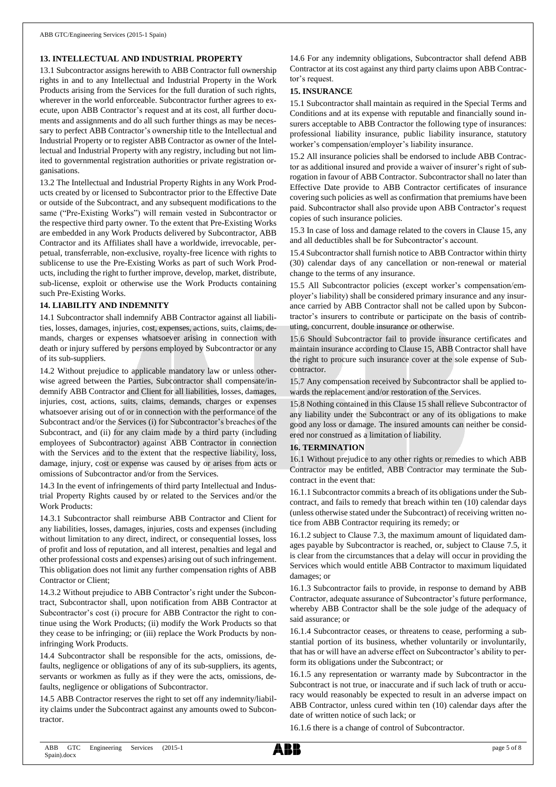#### **13. INTELLECTUAL AND INDUSTRIAL PROPERTY**

13.1 Subcontractor assigns herewith to ABB Contractor full ownership rights in and to any Intellectual and Industrial Property in the Work Products arising from the Services for the full duration of such rights, wherever in the world enforceable. Subcontractor further agrees to execute, upon ABB Contractor's request and at its cost, all further documents and assignments and do all such further things as may be necessary to perfect ABB Contractor's ownership title to the Intellectual and Industrial Property or to register ABB Contractor as owner of the Intellectual and Industrial Property with any registry, including but not limited to governmental registration authorities or private registration organisations.

13.2 The Intellectual and Industrial Property Rights in any Work Products created by or licensed to Subcontractor prior to the Effective Date or outside of the Subcontract, and any subsequent modifications to the same ("Pre-Existing Works") will remain vested in Subcontractor or the respective third party owner. To the extent that Pre-Existing Works are embedded in any Work Products delivered by Subcontractor, ABB Contractor and its Affiliates shall have a worldwide, irrevocable, perpetual, transferrable, non-exclusive, royalty-free licence with rights to sublicense to use the Pre-Existing Works as part of such Work Products, including the right to further improve, develop, market, distribute, sub-license, exploit or otherwise use the Work Products containing such Pre-Existing Works.

#### **14. LIABILITY AND INDEMNITY**

14.1 Subcontractor shall indemnify ABB Contractor against all liabilities, losses, damages, injuries, cost, expenses, actions, suits, claims, demands, charges or expenses whatsoever arising in connection with death or injury suffered by persons employed by Subcontractor or any of its sub-suppliers.

14.2 Without prejudice to applicable mandatory law or unless otherwise agreed between the Parties, Subcontractor shall compensate/indemnify ABB Contractor and Client for all liabilities, losses, damages, injuries, cost, actions, suits, claims, demands, charges or expenses whatsoever arising out of or in connection with the performance of the Subcontract and/or the Services (i) for Subcontractor's breaches of the Subcontract, and (ii) for any claim made by a third party (including employees of Subcontractor) against ABB Contractor in connection with the Services and to the extent that the respective liability, loss, damage, injury, cost or expense was caused by or arises from acts or omissions of Subcontractor and/or from the Services.

14.3 In the event of infringements of third party Intellectual and Industrial Property Rights caused by or related to the Services and/or the Work Products:

14.3.1 Subcontractor shall reimburse ABB Contractor and Client for any liabilities, losses, damages, injuries, costs and expenses (including without limitation to any direct, indirect, or consequential losses, loss of profit and loss of reputation, and all interest, penalties and legal and other professional costs and expenses) arising out of such infringement. This obligation does not limit any further compensation rights of ABB Contractor or Client;

14.3.2 Without prejudice to ABB Contractor's right under the Subcontract, Subcontractor shall, upon notification from ABB Contractor at Subcontractor's cost (i) procure for ABB Contractor the right to continue using the Work Products; (ii) modify the Work Products so that they cease to be infringing; or (iii) replace the Work Products by noninfringing Work Products.

14.4 Subcontractor shall be responsible for the acts, omissions, defaults, negligence or obligations of any of its sub-suppliers, its agents, servants or workmen as fully as if they were the acts, omissions, defaults, negligence or obligations of Subcontractor.

14.5 ABB Contractor reserves the right to set off any indemnity/liability claims under the Subcontract against any amounts owed to Subcontractor.

14.6 For any indemnity obligations, Subcontractor shall defend ABB Contractor at its cost against any third party claims upon ABB Contractor's request.

#### **15. INSURANCE**

15.1 Subcontractor shall maintain as required in the Special Terms and Conditions and at its expense with reputable and financially sound insurers acceptable to ABB Contractor the following type of insurances: professional liability insurance, public liability insurance, statutory worker's compensation/employer's liability insurance.

15.2 All insurance policies shall be endorsed to include ABB Contractor as additional insured and provide a waiver of insurer's right of subrogation in favour of ABB Contractor. Subcontractor shall no later than Effective Date provide to ABB Contractor certificates of insurance covering such policies as well as confirmation that premiums have been paid. Subcontractor shall also provide upon ABB Contractor's request copies of such insurance policies.

15.3 In case of loss and damage related to the covers in Clause 15, any and all deductibles shall be for Subcontractor's account.

15.4 Subcontractor shall furnish notice to ABB Contractor within thirty (30) calendar days of any cancellation or non-renewal or material change to the terms of any insurance.

15.5 All Subcontractor policies (except worker's compensation/employer's liability) shall be considered primary insurance and any insurance carried by ABB Contractor shall not be called upon by Subcontractor's insurers to contribute or participate on the basis of contributing, concurrent, double insurance or otherwise.

15.6 Should Subcontractor fail to provide insurance certificates and maintain insurance according to Clause 15, ABB Contractor shall have the right to procure such insurance cover at the sole expense of Subcontractor.

15.7 Any compensation received by Subcontractor shall be applied towards the replacement and/or restoration of the Services.

15.8 Nothing contained in this Clause 15 shall relieve Subcontractor of any liability under the Subcontract or any of its obligations to make good any loss or damage. The insured amounts can neither be considered nor construed as a limitation of liability.

## **16. TERMINATION**

16.1 Without prejudice to any other rights or remedies to which ABB Contractor may be entitled, ABB Contractor may terminate the Subcontract in the event that:

16.1.1 Subcontractor commits a breach of its obligations under the Subcontract, and fails to remedy that breach within ten (10) calendar days (unless otherwise stated under the Subcontract) of receiving written notice from ABB Contractor requiring its remedy; or

16.1.2 subject to Clause 7.3, the maximum amount of liquidated damages payable by Subcontractor is reached, or, subject to Clause 7.5, it is clear from the circumstances that a delay will occur in providing the Services which would entitle ABB Contractor to maximum liquidated damages; or

16.1.3 Subcontractor fails to provide, in response to demand by ABB Contractor, adequate assurance of Subcontractor's future performance, whereby ABB Contractor shall be the sole judge of the adequacy of said assurance; or

16.1.4 Subcontractor ceases, or threatens to cease, performing a substantial portion of its business, whether voluntarily or involuntarily, that has or will have an adverse effect on Subcontractor's ability to perform its obligations under the Subcontract; or

16.1.5 any representation or warranty made by Subcontractor in the Subcontract is not true, or inaccurate and if such lack of truth or accuracy would reasonably be expected to result in an adverse impact on ABB Contractor, unless cured within ten (10) calendar days after the date of written notice of such lack; or

16.1.6 there is a change of control of Subcontractor.

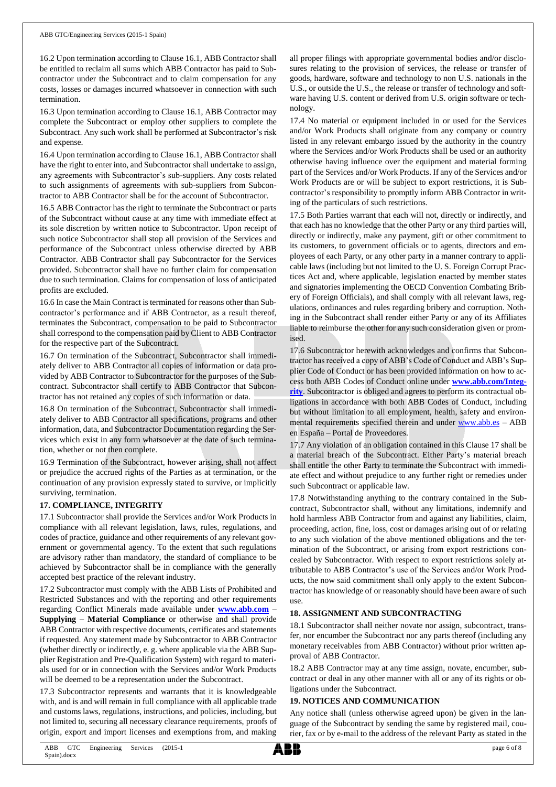16.2 Upon termination according to Clause 16.1, ABB Contractor shall be entitled to reclaim all sums which ABB Contractor has paid to Subcontractor under the Subcontract and to claim compensation for any costs, losses or damages incurred whatsoever in connection with such termination.

16.3 Upon termination according to Clause 16.1, ABB Contractor may complete the Subcontract or employ other suppliers to complete the Subcontract. Any such work shall be performed at Subcontractor's risk and expense.

16.4 Upon termination according to Clause 16.1, ABB Contractor shall have the right to enter into, and Subcontractor shall undertake to assign, any agreements with Subcontractor's sub-suppliers. Any costs related to such assignments of agreements with sub-suppliers from Subcontractor to ABB Contractor shall be for the account of Subcontractor.

16.5 ABB Contractor has the right to terminate the Subcontract or parts of the Subcontract without cause at any time with immediate effect at its sole discretion by written notice to Subcontractor. Upon receipt of such notice Subcontractor shall stop all provision of the Services and performance of the Subcontract unless otherwise directed by ABB Contractor. ABB Contractor shall pay Subcontractor for the Services provided. Subcontractor shall have no further claim for compensation due to such termination. Claims for compensation of loss of anticipated profits are excluded.

16.6 In case the Main Contract is terminated for reasons other than Subcontractor's performance and if ABB Contractor, as a result thereof, terminates the Subcontract, compensation to be paid to Subcontractor shall correspond to the compensation paid by Client to ABB Contractor for the respective part of the Subcontract.

16.7 On termination of the Subcontract, Subcontractor shall immediately deliver to ABB Contractor all copies of information or data provided by ABB Contractor to Subcontractor for the purposes of the Subcontract. Subcontractor shall certify to ABB Contractor that Subcontractor has not retained any copies of such information or data.

16.8 On termination of the Subcontract, Subcontractor shall immediately deliver to ABB Contractor all specifications, programs and other information, data, and Subcontractor Documentation regarding the Services which exist in any form whatsoever at the date of such termination, whether or not then complete.

16.9 Termination of the Subcontract, however arising, shall not affect or prejudice the accrued rights of the Parties as at termination, or the continuation of any provision expressly stated to survive, or implicitly surviving, termination.

#### **17. COMPLIANCE, INTEGRITY**

17.1 Subcontractor shall provide the Services and/or Work Products in compliance with all relevant legislation, laws, rules, regulations, and codes of practice, guidance and other requirements of any relevant government or governmental agency. To the extent that such regulations are advisory rather than mandatory, the standard of compliance to be achieved by Subcontractor shall be in compliance with the generally accepted best practice of the relevant industry.

17.2 Subcontractor must comply with the ABB Lists of Prohibited and Restricted Substances and with the reporting and other requirements regarding Conflict Minerals made available under **[www.abb.com](http://www.abb.com/) – Supplying – Material Compliance** or otherwise and shall provide ABB Contractor with respective documents, certificates and statements if requested. Any statement made by Subcontractor to ABB Contractor (whether directly or indirectly, e. g. where applicable via the ABB Supplier Registration and Pre-Qualification System) with regard to materials used for or in connection with the Services and/or Work Products will be deemed to be a representation under the Subcontract.

17.3 Subcontractor represents and warrants that it is knowledgeable with, and is and will remain in full compliance with all applicable trade and customs laws, regulations, instructions, and policies, including, but not limited to, securing all necessary clearance requirements, proofs of origin, export and import licenses and exemptions from, and making

all proper filings with appropriate governmental bodies and/or disclosures relating to the provision of services, the release or transfer of goods, hardware, software and technology to non U.S. nationals in the U.S., or outside the U.S., the release or transfer of technology and software having U.S. content or derived from U.S. origin software or technology.

17.4 No material or equipment included in or used for the Services and/or Work Products shall originate from any company or country listed in any relevant embargo issued by the authority in the country where the Services and/or Work Products shall be used or an authority otherwise having influence over the equipment and material forming part of the Services and/or Work Products. If any of the Services and/or Work Products are or will be subject to export restrictions, it is Subcontractor's responsibility to promptly inform ABB Contractor in writing of the particulars of such restrictions.

17.5 Both Parties warrant that each will not, directly or indirectly, and that each has no knowledge that the other Party or any third parties will, directly or indirectly, make any payment, gift or other commitment to its customers, to government officials or to agents, directors and employees of each Party, or any other party in a manner contrary to applicable laws (including but not limited to the U. S. Foreign Corrupt Practices Act and, where applicable, legislation enacted by member states and signatories implementing the OECD Convention Combating Bribery of Foreign Officials), and shall comply with all relevant laws, regulations, ordinances and rules regarding bribery and corruption. Nothing in the Subcontract shall render either Party or any of its Affiliates liable to reimburse the other for any such consideration given or promised.

17.6 Subcontractor herewith acknowledges and confirms that Subcontractor has received a copy of ABB's Code of Conduct and ABB's Supplier Code of Conduct or has been provided information on how to access both ABB Codes of Conduct online under **[www.abb.com/Integ](http://www.abb.com/Integrity)[rity](http://www.abb.com/Integrity)**. Subcontractor is obliged and agrees to perform its contractual obligations in accordance with both ABB Codes of Conduct, including but without limitation to all employment, health, safety and environmental requirements specified therein and under [www.abb.es](http://www.abb.es/) – ABB en España – Portal de Proveedores.

17.7 Any violation of an obligation contained in this Clause 17 shall be a material breach of the Subcontract. Either Party's material breach shall entitle the other Party to terminate the Subcontract with immediate effect and without prejudice to any further right or remedies under such Subcontract or applicable law.

17.8 Notwithstanding anything to the contrary contained in the Subcontract, Subcontractor shall, without any limitations, indemnify and hold harmless ABB Contractor from and against any liabilities, claim, proceeding, action, fine, loss, cost or damages arising out of or relating to any such violation of the above mentioned obligations and the termination of the Subcontract, or arising from export restrictions concealed by Subcontractor. With respect to export restrictions solely attributable to ABB Contractor's use of the Services and/or Work Products, the now said commitment shall only apply to the extent Subcontractor has knowledge of or reasonably should have been aware of such use.

#### **18. ASSIGNMENT AND SUBCONTRACTING**

18.1 Subcontractor shall neither novate nor assign, subcontract, transfer, nor encumber the Subcontract nor any parts thereof (including any monetary receivables from ABB Contractor) without prior written approval of ABB Contractor.

18.2 ABB Contractor may at any time assign, novate, encumber, subcontract or deal in any other manner with all or any of its rights or obligations under the Subcontract.

#### **19. NOTICES AND COMMUNICATION**

Any notice shall (unless otherwise agreed upon) be given in the language of the Subcontract by sending the same by registered mail, courier, fax or by e-mail to the address of the relevant Party as stated in the

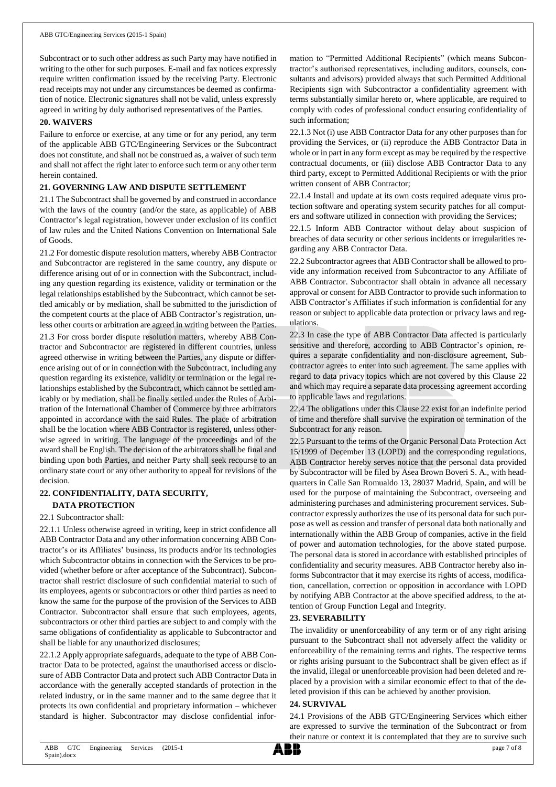Subcontract or to such other address as such Party may have notified in writing to the other for such purposes. E-mail and fax notices expressly require written confirmation issued by the receiving Party. Electronic read receipts may not under any circumstances be deemed as confirmation of notice. Electronic signatures shall not be valid, unless expressly agreed in writing by duly authorised representatives of the Parties.

#### **20. WAIVERS**

Failure to enforce or exercise, at any time or for any period, any term of the applicable ABB GTC/Engineering Services or the Subcontract does not constitute, and shall not be construed as, a waiver of such term and shall not affect the right later to enforce such term or any other term herein contained.

#### **21. GOVERNING LAW AND DISPUTE SETTLEMENT**

21.1 The Subcontract shall be governed by and construed in accordance with the laws of the country (and/or the state, as applicable) of ABB Contractor's legal registration, however under exclusion of its conflict of law rules and the United Nations Convention on International Sale of Goods.

21.2 For domestic dispute resolution matters, whereby ABB Contractor and Subcontractor are registered in the same country, any dispute or difference arising out of or in connection with the Subcontract, including any question regarding its existence, validity or termination or the legal relationships established by the Subcontract, which cannot be settled amicably or by mediation, shall be submitted to the jurisdiction of the competent courts at the place of ABB Contractor's registration, unless other courts or arbitration are agreed in writing between the Parties.

21.3 For cross border dispute resolution matters, whereby ABB Contractor and Subcontractor are registered in different countries, unless agreed otherwise in writing between the Parties, any dispute or difference arising out of or in connection with the Subcontract, including any question regarding its existence, validity or termination or the legal relationships established by the Subcontract, which cannot be settled amicably or by mediation, shall be finally settled under the Rules of Arbitration of the International Chamber of Commerce by three arbitrators appointed in accordance with the said Rules. The place of arbitration shall be the location where ABB Contractor is registered, unless otherwise agreed in writing. The language of the proceedings and of the award shall be English. The decision of the arbitrators shall be final and binding upon both Parties, and neither Party shall seek recourse to an ordinary state court or any other authority to appeal for revisions of the decision.

# **22. CONFIDENTIALITY, DATA SECURITY,**

# **DATA PROTECTION**

#### 22.1 Subcontractor shall:

22.1.1 Unless otherwise agreed in writing, keep in strict confidence all ABB Contractor Data and any other information concerning ABB Contractor's or its Affiliates' business, its products and/or its technologies which Subcontractor obtains in connection with the Services to be provided (whether before or after acceptance of the Subcontract). Subcontractor shall restrict disclosure of such confidential material to such of its employees, agents or subcontractors or other third parties as need to know the same for the purpose of the provision of the Services to ABB Contractor. Subcontractor shall ensure that such employees, agents, subcontractors or other third parties are subject to and comply with the same obligations of confidentiality as applicable to Subcontractor and shall be liable for any unauthorized disclosures;

22.1.2 Apply appropriate safeguards, adequate to the type of ABB Contractor Data to be protected, against the unauthorised access or disclosure of ABB Contractor Data and protect such ABB Contractor Data in accordance with the generally accepted standards of protection in the related industry, or in the same manner and to the same degree that it protects its own confidential and proprietary information – whichever standard is higher. Subcontractor may disclose confidential information to "Permitted Additional Recipients" (which means Subcontractor's authorised representatives, including auditors, counsels, consultants and advisors) provided always that such Permitted Additional Recipients sign with Subcontractor a confidentiality agreement with terms substantially similar hereto or, where applicable, are required to comply with codes of professional conduct ensuring confidentiality of such information;

22.1.3 Not (i) use ABB Contractor Data for any other purposes than for providing the Services, or (ii) reproduce the ABB Contractor Data in whole or in part in any form except as may be required by the respective contractual documents, or (iii) disclose ABB Contractor Data to any third party, except to Permitted Additional Recipients or with the prior written consent of ABB Contractor;

22.1.4 Install and update at its own costs required adequate virus protection software and operating system security patches for all computers and software utilized in connection with providing the Services;

22.1.5 Inform ABB Contractor without delay about suspicion of breaches of data security or other serious incidents or irregularities regarding any ABB Contractor Data.

22.2 Subcontractor agrees that ABB Contractor shall be allowed to provide any information received from Subcontractor to any Affiliate of ABB Contractor. Subcontractor shall obtain in advance all necessary approval or consent for ABB Contractor to provide such information to ABB Contractor's Affiliates if such information is confidential for any reason or subject to applicable data protection or privacy laws and regulations.

22.3 In case the type of ABB Contractor Data affected is particularly sensitive and therefore, according to ABB Contractor's opinion, requires a separate confidentiality and non-disclosure agreement, Subcontractor agrees to enter into such agreement. The same applies with regard to data privacy topics which are not covered by this Clause 22 and which may require a separate data processing agreement according to applicable laws and regulations.

22.4 The obligations under this Clause 22 exist for an indefinite period of time and therefore shall survive the expiration or termination of the Subcontract for any reason.

22.5 Pursuant to the terms of the Organic Personal Data Protection Act 15/1999 of December 13 (LOPD) and the corresponding regulations, ABB Contractor hereby serves notice that the personal data provided by Subcontractor will be filed by Asea Brown Boveri S. A., with headquarters in Calle San Romualdo 13, 28037 Madrid, Spain, and will be used for the purpose of maintaining the Subcontract, overseeing and administering purchases and administering procurement services. Subcontractor expressly authorizes the use of its personal data for such purpose as well as cession and transfer of personal data both nationally and internationally within the ABB Group of companies, active in the field of power and automation technologies, for the above stated purpose. The personal data is stored in accordance with established principles of confidentiality and security measures. ABB Contractor hereby also informs Subcontractor that it may exercise its rights of access, modification, cancellation, correction or opposition in accordance with LOPD by notifying ABB Contractor at the above specified address, to the attention of Group Function Legal and Integrity.

## **23. SEVERABILITY**

The invalidity or unenforceability of any term or of any right arising pursuant to the Subcontract shall not adversely affect the validity or enforceability of the remaining terms and rights. The respective terms or rights arising pursuant to the Subcontract shall be given effect as if the invalid, illegal or unenforceable provision had been deleted and replaced by a provision with a similar economic effect to that of the deleted provision if this can be achieved by another provision.

#### **24. SURVIVAL**

24.1 Provisions of the ABB GTC/Engineering Services which either are expressed to survive the termination of the Subcontract or from their nature or context it is contemplated that they are to survive such